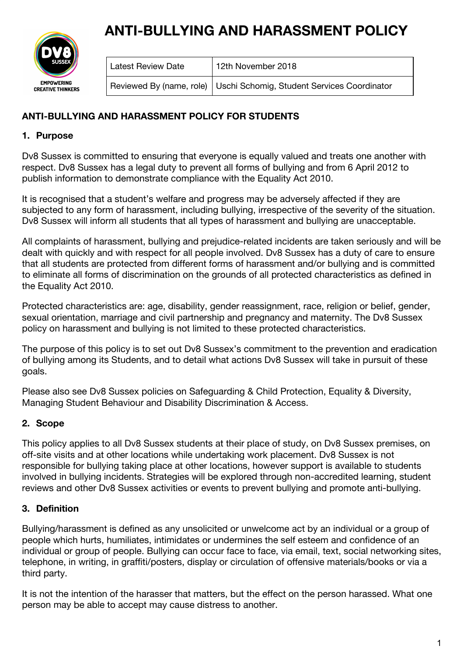# **ANTI-BULLYING AND HARASSMENT POLICY**



| Latest Review Date | 12th November 2018                                                     |
|--------------------|------------------------------------------------------------------------|
|                    | Reviewed By (name, role)   Uschi Schomig, Student Services Coordinator |

# **ANTI-BULLYING AND HARASSMENT POLICY FOR STUDENTS**

# **1. Purpose**

Dv8 Sussex is committed to ensuring that everyone is equally valued and treats one another with respect. Dv8 Sussex has a legal duty to prevent all forms of bullying and from 6 April 2012 to publish information to demonstrate compliance with the Equality Act 2010.

It is recognised that a student's welfare and progress may be adversely affected if they are subjected to any form of harassment, including bullying, irrespective of the severity of the situation. Dv8 Sussex will inform all students that all types of harassment and bullying are unacceptable.

All complaints of harassment, bullying and prejudice-related incidents are taken seriously and will be dealt with quickly and with respect for all people involved. Dv8 Sussex has a duty of care to ensure that all students are protected from different forms of harassment and/or bullying and is committed to eliminate all forms of discrimination on the grounds of all protected characteristics as defined in the Equality Act 2010.

Protected characteristics are: age, disability, gender reassignment, race, religion or belief, gender, sexual orientation, marriage and civil partnership and pregnancy and maternity. The Dv8 Sussex policy on harassment and bullying is not limited to these protected characteristics.

The purpose of this policy is to set out Dv8 Sussex's commitment to the prevention and eradication of bullying among its Students, and to detail what actions Dv8 Sussex will take in pursuit of these goals.

Please also see Dv8 Sussex policies on Safeguarding & Child Protection, Equality & Diversity, Managing Student Behaviour and Disability Discrimination & Access.

# **2. Scope**

This policy applies to all Dv8 Sussex students at their place of study, on Dv8 Sussex premises, on off-site visits and at other locations while undertaking work placement. Dv8 Sussex is not responsible for bullying taking place at other locations, however support is available to students involved in bullying incidents. Strategies will be explored through non-accredited learning, student reviews and other Dv8 Sussex activities or events to prevent bullying and promote anti-bullying.

# **3. Definition**

Bullying/harassment is defined as any unsolicited or unwelcome act by an individual or a group of people which hurts, humiliates, intimidates or undermines the self esteem and confidence of an individual or group of people. Bullying can occur face to face, via email, text, social networking sites, telephone, in writing, in graffiti/posters, display or circulation of offensive materials/books or via a third party.

It is not the intention of the harasser that matters, but the effect on the person harassed. What one person may be able to accept may cause distress to another.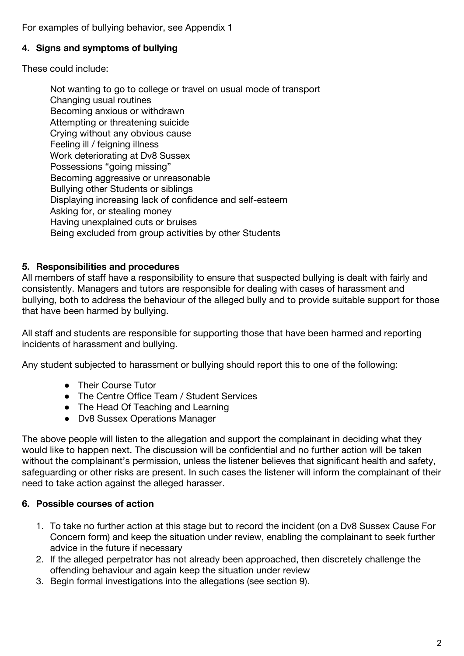For examples of bullying behavior, see Appendix 1

#### **4. Signs and symptoms of bullying**

These could include:

Not wanting to go to college or travel on usual mode of transport Changing usual routines Becoming anxious or withdrawn Attempting or threatening suicide Crying without any obvious cause Feeling ill / feigning illness Work deteriorating at Dv8 Sussex Possessions "going missing" Becoming aggressive or unreasonable Bullying other Students or siblings Displaying increasing lack of confidence and self-esteem Asking for, or stealing money Having unexplained cuts or bruises Being excluded from group activities by other Students

#### **5. Responsibilities and procedures**

All members of staff have a responsibility to ensure that suspected bullying is dealt with fairly and consistently. Managers and tutors are responsible for dealing with cases of harassment and bullying, both to address the behaviour of the alleged bully and to provide suitable support for those that have been harmed by bullying.

All staff and students are responsible for supporting those that have been harmed and reporting incidents of harassment and bullying.

Any student subjected to harassment or bullying should report this to one of the following:

- Their Course Tutor
- The Centre Office Team / Student Services
- The Head Of Teaching and Learning
- Dv8 Sussex Operations Manager

The above people will listen to the allegation and support the complainant in deciding what they would like to happen next. The discussion will be confidential and no further action will be taken without the complainant's permission, unless the listener believes that significant health and safety, safeguarding or other risks are present. In such cases the listener will inform the complainant of their need to take action against the alleged harasser.

#### **6. Possible courses of action**

- 1. To take no further action at this stage but to record the incident (on a Dv8 Sussex Cause For Concern form) and keep the situation under review, enabling the complainant to seek further advice in the future if necessary
- 2. If the alleged perpetrator has not already been approached, then discretely challenge the offending behaviour and again keep the situation under review
- 3. Begin formal investigations into the allegations (see section 9).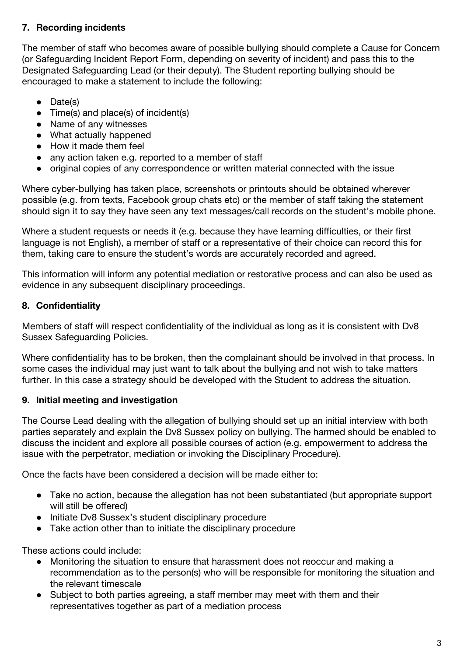# **7. Recording incidents**

The member of staff who becomes aware of possible bullying should complete a Cause for Concern (or Safeguarding Incident Report Form, depending on severity of incident) and pass this to the Designated Safeguarding Lead (or their deputy). The Student reporting bullying should be encouraged to make a statement to include the following:

- Date(s)
- Time(s) and place(s) of incident(s)
- Name of any witnesses
- What actually happened
- How it made them feel
- any action taken e.g. reported to a member of staff
- original copies of any correspondence or written material connected with the issue

Where cyber-bullying has taken place, screenshots or printouts should be obtained wherever possible (e.g. from texts, Facebook group chats etc) or the member of staff taking the statement should sign it to say they have seen any text messages/call records on the student's mobile phone.

Where a student requests or needs it (e.g. because they have learning difficulties, or their first language is not English), a member of staff or a representative of their choice can record this for them, taking care to ensure the student's words are accurately recorded and agreed.

This information will inform any potential mediation or restorative process and can also be used as evidence in any subsequent disciplinary proceedings.

## **8. Confidentiality**

Members of staff will respect confidentiality of the individual as long as it is consistent with Dv8 Sussex Safeguarding Policies.

Where confidentiality has to be broken, then the complainant should be involved in that process. In some cases the individual may just want to talk about the bullying and not wish to take matters further. In this case a strategy should be developed with the Student to address the situation.

## **9. Initial meeting and investigation**

The Course Lead dealing with the allegation of bullying should set up an initial interview with both parties separately and explain the Dv8 Sussex policy on bullying. The harmed should be enabled to discuss the incident and explore all possible courses of action (e.g. empowerment to address the issue with the perpetrator, mediation or invoking the Disciplinary Procedure).

Once the facts have been considered a decision will be made either to:

- Take no action, because the allegation has not been substantiated (but appropriate support will still be offered)
- Initiate Dv8 Sussex's student disciplinary procedure
- Take action other than to initiate the disciplinary procedure

These actions could include:

- Monitoring the situation to ensure that harassment does not reoccur and making a recommendation as to the person(s) who will be responsible for monitoring the situation and the relevant timescale
- Subject to both parties agreeing, a staff member may meet with them and their representatives together as part of a mediation process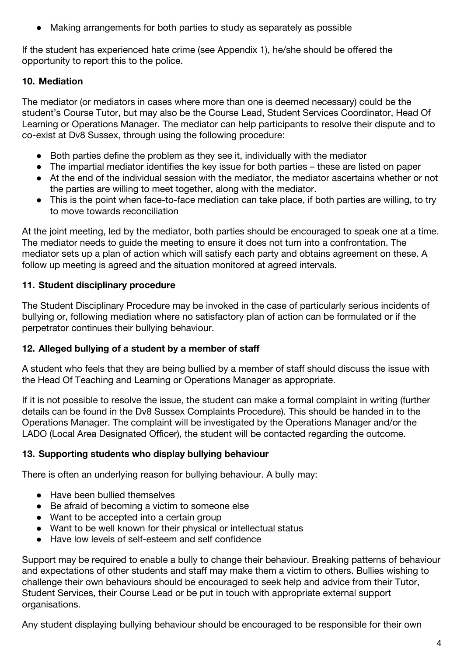● Making arrangements for both parties to study as separately as possible

If the student has experienced hate crime (see Appendix 1), he/she should be offered the opportunity to report this to the police.

# **10. Mediation**

The mediator (or mediators in cases where more than one is deemed necessary) could be the student's Course Tutor, but may also be the Course Lead, Student Services Coordinator, Head Of Learning or Operations Manager. The mediator can help participants to resolve their dispute and to co-exist at Dv8 Sussex, through using the following procedure:

- Both parties define the problem as they see it, individually with the mediator
- The impartial mediator identifies the key issue for both parties these are listed on paper
- At the end of the individual session with the mediator, the mediator ascertains whether or not the parties are willing to meet together, along with the mediator.
- This is the point when face-to-face mediation can take place, if both parties are willing, to try to move towards reconciliation

At the joint meeting, led by the mediator, both parties should be encouraged to speak one at a time. The mediator needs to guide the meeting to ensure it does not turn into a confrontation. The mediator sets up a plan of action which will satisfy each party and obtains agreement on these. A follow up meeting is agreed and the situation monitored at agreed intervals.

## **11. Student disciplinary procedure**

The Student Disciplinary Procedure may be invoked in the case of particularly serious incidents of bullying or, following mediation where no satisfactory plan of action can be formulated or if the perpetrator continues their bullying behaviour.

## **12. Alleged bullying of a student by a member of staff**

A student who feels that they are being bullied by a member of staff should discuss the issue with the Head Of Teaching and Learning or Operations Manager as appropriate.

If it is not possible to resolve the issue, the student can make a formal complaint in writing (further details can be found in the Dv8 Sussex Complaints Procedure). This should be handed in to the Operations Manager. The complaint will be investigated by the Operations Manager and/or the LADO (Local Area Designated Officer), the student will be contacted regarding the outcome.

## **13. Supporting students who display bullying behaviour**

There is often an underlying reason for bullying behaviour. A bully may:

- Have been bullied themselves
- Be afraid of becoming a victim to someone else
- Want to be accepted into a certain group
- Want to be well known for their physical or intellectual status
- Have low levels of self-esteem and self confidence

Support may be required to enable a bully to change their behaviour. Breaking patterns of behaviour and expectations of other students and staff may make them a victim to others. Bullies wishing to challenge their own behaviours should be encouraged to seek help and advice from their Tutor, Student Services, their Course Lead or be put in touch with appropriate external support organisations.

Any student displaying bullying behaviour should be encouraged to be responsible for their own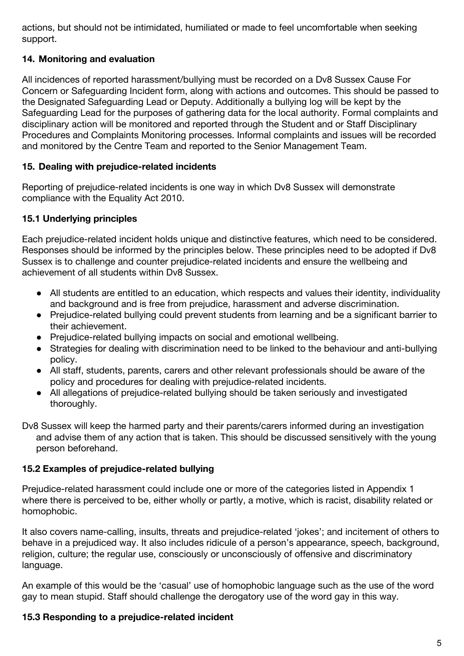actions, but should not be intimidated, humiliated or made to feel uncomfortable when seeking support.

## **14. Monitoring and evaluation**

All incidences of reported harassment/bullying must be recorded on a Dv8 Sussex Cause For Concern or Safeguarding Incident form, along with actions and outcomes. This should be passed to the Designated Safeguarding Lead or Deputy. Additionally a bullying log will be kept by the Safeguarding Lead for the purposes of gathering data for the local authority. Formal complaints and disciplinary action will be monitored and reported through the Student and or Staff Disciplinary Procedures and Complaints Monitoring processes. Informal complaints and issues will be recorded and monitored by the Centre Team and reported to the Senior Management Team.

## **15. Dealing with prejudice-related incidents**

Reporting of prejudice-related incidents is one way in which Dv8 Sussex will demonstrate compliance with the Equality Act 2010.

## **15.1 Underlying principles**

Each prejudice-related incident holds unique and distinctive features, which need to be considered. Responses should be informed by the principles below. These principles need to be adopted if Dv8 Sussex is to challenge and counter prejudice-related incidents and ensure the wellbeing and achievement of all students within Dv8 Sussex.

- All students are entitled to an education, which respects and values their identity, individuality and background and is free from prejudice, harassment and adverse discrimination.
- Prejudice-related bullying could prevent students from learning and be a significant barrier to their achievement.
- Prejudice-related bullying impacts on social and emotional wellbeing.
- Strategies for dealing with discrimination need to be linked to the behaviour and anti-bullying policy.
- All staff, students, parents, carers and other relevant professionals should be aware of the policy and procedures for dealing with prejudice-related incidents.
- All allegations of prejudice-related bullying should be taken seriously and investigated thoroughly.

Dv8 Sussex will keep the harmed party and their parents/carers informed during an investigation and advise them of any action that is taken. This should be discussed sensitively with the young person beforehand.

## **15.2 Examples of prejudice-related bullying**

Prejudice-related harassment could include one or more of the categories listed in Appendix 1 where there is perceived to be, either wholly or partly, a motive, which is racist, disability related or homophobic.

It also covers name-calling, insults, threats and prejudice-related 'jokes'; and incitement of others to behave in a prejudiced way. It also includes ridicule of a person's appearance, speech, background, religion, culture; the regular use, consciously or unconsciously of offensive and discriminatory language.

An example of this would be the 'casual' use of homophobic language such as the use of the word gay to mean stupid. Staff should challenge the derogatory use of the word gay in this way.

## **15.3 Responding to a prejudice-related incident**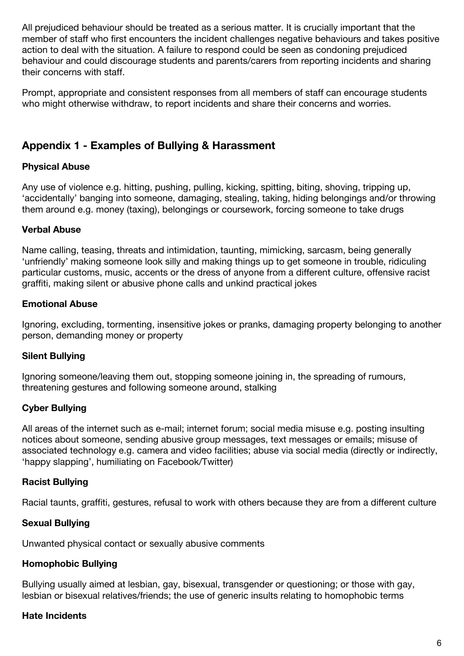All prejudiced behaviour should be treated as a serious matter. It is crucially important that the member of staff who first encounters the incident challenges negative behaviours and takes positive action to deal with the situation. A failure to respond could be seen as condoning prejudiced behaviour and could discourage students and parents/carers from reporting incidents and sharing their concerns with staff.

Prompt, appropriate and consistent responses from all members of staff can encourage students who might otherwise withdraw, to report incidents and share their concerns and worries.

# **Appendix 1 - Examples of Bullying & Harassment**

#### **Physical Abuse**

Any use of violence e.g. hitting, pushing, pulling, kicking, spitting, biting, shoving, tripping up, 'accidentally' banging into someone, damaging, stealing, taking, hiding belongings and/or throwing them around e.g. money (taxing), belongings or coursework, forcing someone to take drugs

#### **Verbal Abuse**

Name calling, teasing, threats and intimidation, taunting, mimicking, sarcasm, being generally 'unfriendly' making someone look silly and making things up to get someone in trouble, ridiculing particular customs, music, accents or the dress of anyone from a different culture, offensive racist graffiti, making silent or abusive phone calls and unkind practical jokes

#### **Emotional Abuse**

Ignoring, excluding, tormenting, insensitive jokes or pranks, damaging property belonging to another person, demanding money or property

#### **Silent Bullying**

Ignoring someone/leaving them out, stopping someone joining in, the spreading of rumours, threatening gestures and following someone around, stalking

#### **Cyber Bullying**

All areas of the internet such as e-mail; internet forum; social media misuse e.g. posting insulting notices about someone, sending abusive group messages, text messages or emails; misuse of associated technology e.g. camera and video facilities; abuse via social media (directly or indirectly, 'happy slapping', humiliating on Facebook/Twitter)

#### **Racist Bullying**

Racial taunts, graffiti, gestures, refusal to work with others because they are from a different culture

#### **Sexual Bullying**

Unwanted physical contact or sexually abusive comments

## **Homophobic Bullying**

Bullying usually aimed at lesbian, gay, bisexual, transgender or questioning; or those with gay, lesbian or bisexual relatives/friends; the use of generic insults relating to homophobic terms

## **Hate Incidents**